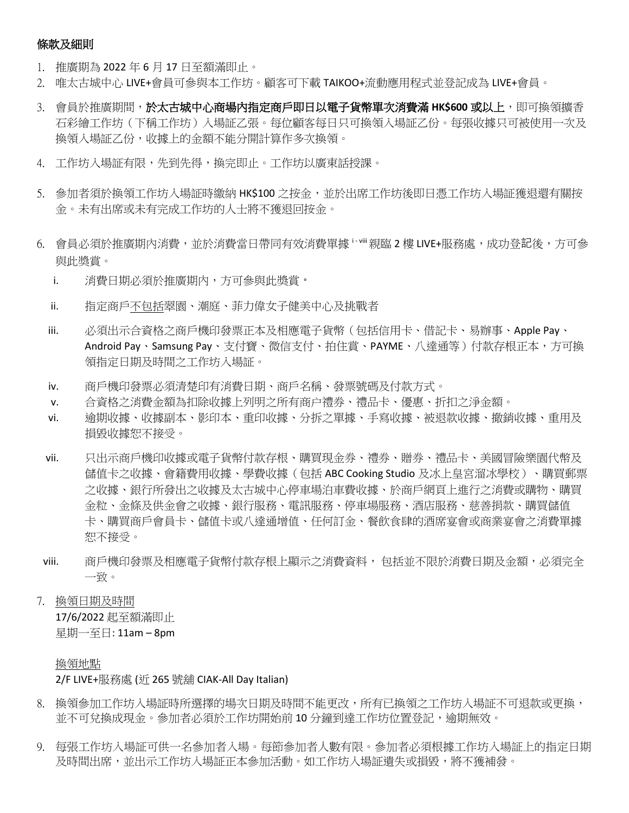### 條款及細則

- 1. 推廣期為 2022 年 6 月 17 日至額滿即止。
- 2. 唯太古城中心 LIVE+會員可參與本工作坊。顧客可下載 TAIKOO+流動應用程式並登記成為 LIVE+會員。
- 3. 會員於推廣期間,於太古城中心商場內指定商戶即日以電子貨幣單次消費滿 HK\$600 或以上,即可換領擴香 石彩繪工作坊(下稱工作坊)入場証乙張。每位顧客每日只可換領入場証乙份。每張收據只可被使用一次及 換領入場証乙份,收據上的金額不能分開計算作多次換領。
- 4. 工作坊入場証有限,先到先得,換完即止。工作坊以廣東話授課。
- 5. 參加者須於換領工作坊入場証時繳納 HK\$100 之按金,並於出席工作坊後即日憑工作坊入場証獲退還有關按 金。未有出席或未有完成工作坊的人士將不獲退回按金。
- 6. 會員必須於推廣期內消費,並於消費當日帶同有效消費單據 · · · · 親臨 2 樓 LIVE+服務處,成功登記後,方可參 與此獎賞。
	- i. 消費日期必須於推廣期內,方可參與此獎賞。
	- ii. 指定商戶不包括翠園、潮庭、菲力偉女子健美中心及挑戰者
	- iii. 必須出示合資格之商戶機印發票正本及相應電子貨幣(包括信用卡、借記卡、易辦事、Apple Pay、 Android Pay、Samsung Pay、支付寶、微信支付、拍住賞、PAYME、八達通等)付款存根正本,方可換 領指定日期及時間之工作坊入場証。
	- iv. 商戶機印發票必須清楚印有消費日期、商戶名稱、發票號碼及付款方式。
	- v. 合資格之消費金額為扣除收據上列明之所有商户禮券、禮品卡、優惠、折扣之淨金額。
	- vi. 逾期收據、收據副本、影印本、重印收據、分拆之單據、手寫收據、被退款收據、撤銷收據、重用及 損毀收據恕不接受。
	- vii. 只出示商戶機印收據或電子貨幣付款存根、購買現金券、禮券、贈券、禮品卡、美國冒險樂園代幣及 儲值卡之收據、會籍費用收據、學費收據(包括 ABC Cooking Studio 及冰上皇宮溜冰學校)、購買郵票 之收據、銀行所發出之收據及太古城中心停車場泊車費收據、於商戶網頁上進行之消費或購物、購買 金粒、金條及供金會之收據、銀行服務、電訊服務、停車場服務、酒店服務、慈善捐款、購買儲值 卡、購買商戶會員卡、儲值卡或八達通增值、任何訂金、餐飲食肆的酒席宴會或商業宴會之消費單據 恕不接受。
- viii. 商戶機印發票及相應電子貨幣付款存根上顯示之消費資料, 包括並不限於消費日期及金額,必須完全 一致。
- 7. 換領日期及時間 17/6/2022 起至額滿即止 星期一至日: 11am – 8pm

### 換領地點

## 2/F LIVE+服務處 (近 265 號舖 CIAK-All Day Italian)

- 8. 換領參加工作坊入場証時所選擇的場次日期及時間不能更改,所有已換領之工作坊入場証不可退款或更換, 並不可兌換成現金。參加者必須於工作坊開始前 10 分鐘到達工作坊位置登記,逾期無效。
- 9. 每張工作坊入場証可供一名參加者入場。每節參加者人數有限。參加者必須根據工作坊入場証上的指定日期 及時間出席,並出示工作坊入場証正本參加活動。如工作坊入場証遺失或損毀,將不獲補發。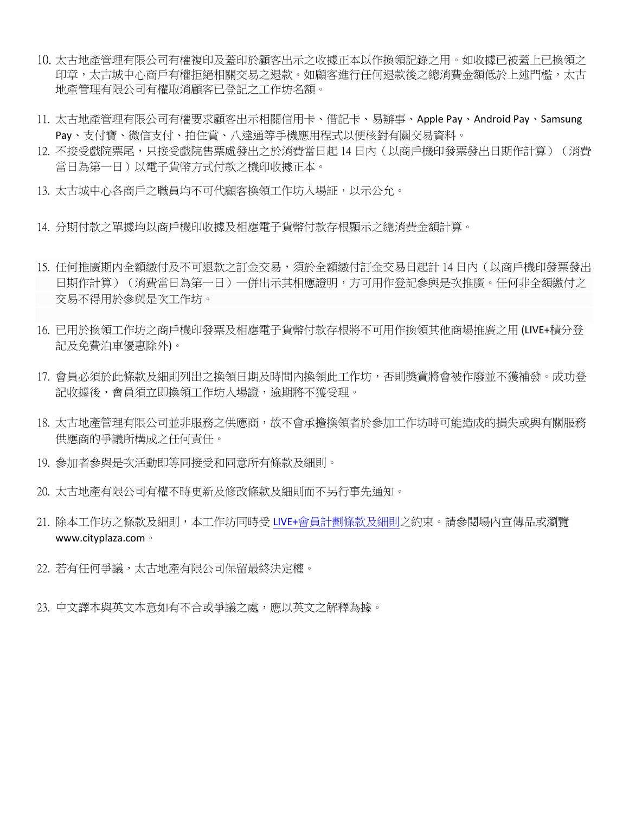- 10. 太古地產管理有限公司有權複印及蓋印於顧客出示之收據正本以作換領記錄之用。如收據已被蓋上已換領之 印章,太古城中心商戶有權拒絕相關交易之退款。如顧客進行任何退款後之總消費金額低於上述門檻,太古 地產管理有限公司有權取消顧客已登記之工作坊名額。
- 11. 太古地產管理有限公司有權要求顧客出示相關信用卡、借記卡、易辦事、Apple Pay、Android Pay、Samsung Pay、支付寶、微信支付、拍住賞、八達通等手機應用程式以便核對有關交易資料。
- 12. 不接受戲院票尾,只接受戲院售票處發出之於消費當日起 14 日內(以商戶機印發票發出日期作計算)(消費 當日為第一日)以電子貨幣方式付款之機印收據正本。
- 13. 太古城中心各商戶之職員均不可代顧客換領工作坊入場証,以示公允。
- 14. 分期付款之單據均以商戶機印收據及相應電子貨幣付款存根顯示之總消費金額計算。
- 15. 任何推廣期内全額繳付及不可退款之訂金交易,須於全額繳付訂金交易日起計 14 日內(以商戶機印發票發出 日期作計算)(消費當日為第一日)一併出示其相應證明,方可用作登記參與是次推廣。任何非全額繳付之 交易不得用於參與是次工作坊。
- 16. 已用於換領工作坊之商戶機印發票及相應電子貨幣付款存根將不可用作換領其他商場推廣之用 (LIVE+積分登 記及免費泊車優惠除外)。
- 17. 會員必須於此條款及細則列出之換領日期及時間內換領此工作坊,否則獎賞將會被作廢並不獲補發。成功登 記收據後,會員須立即換領工作坊入場證,逾期將不獲受理。
- 18. 太古地產管理有限公司並非服務之供應商,故不會承擔換領者於參加工作坊時可能造成的損失或與有關服務 供應商的爭議所構成之任何責任。
- 19. 參加者參與是次活動即等同接受和同意所有條款及細則。
- 20. 太古地產有限公司有權不時更新及修改條款及細則而不另行事先通知。
- 21. 除本工作坊之條款及細則,本工作坊同時受 [LIVE+](https://www.cityplaza.com/-/media/images/cityplaza/website/files/LIVEPLUS_Membership_Programme_TermsandConditions.ashx)[會員計劃條款及細則之](https://www.cityplaza.com/-/media/images/cityplaza/website/files/LIVEPLUS_Membership_Programme_TermsandConditions.ashx)約束。請參閱場内宣傳品或瀏覽 www.cityplaza.com。
- 22. 若有任何爭議,太古地產有限公司保留最終決定權。
- 23. 中文譯本與英文本意如有不合或爭議之處,應以英文之解釋為據。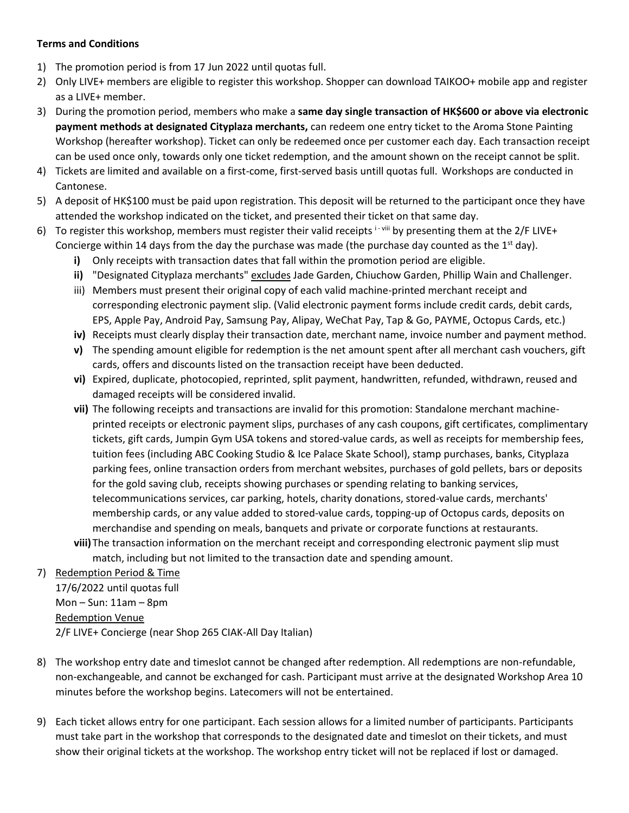### **Terms and Conditions**

- 1) The promotion period is from 17 Jun 2022 until quotas full.
- 2) Only LIVE+ members are eligible to register this workshop. Shopper can download TAIKOO+ mobile app and register as a LIVE+ member.
- 3) During the promotion period, members who make a **same day single transaction of HK\$600 or above via electronic payment methods at designated Cityplaza merchants,** can redeem one entry ticket to the Aroma Stone Painting Workshop (hereafter workshop). Ticket can only be redeemed once per customer each day. Each transaction receipt can be used once only, towards only one ticket redemption, and the amount shown on the receipt cannot be split.
- 4) Tickets are limited and available on a first-come, first-served basis untill quotas full. Workshops are conducted in Cantonese.
- 5) A deposit of HK\$100 must be paid upon registration. This deposit will be returned to the participant once they have attended the workshop indicated on the ticket, and presented their ticket on that same day.
- 6) To register this workshop, members must register their valid receipts  $i$ -viii by presenting them at the 2/F LIVE+ Concierge within 14 days from the day the purchase was made (the purchase day counted as the 1<sup>st</sup> day).
	- **i)** Only receipts with transaction dates that fall within the promotion period are eligible.
	- **ii)** "Designated Cityplaza merchants" excludes Jade Garden, Chiuchow Garden, Phillip Wain and Challenger.
	- iii) Members must present their original copy of each valid machine-printed merchant receipt and corresponding electronic payment slip. (Valid electronic payment forms include credit cards, debit cards, EPS, Apple Pay, Android Pay, Samsung Pay, Alipay, WeChat Pay, Tap & Go, PAYME, Octopus Cards, etc.)
	- **iv)** Receipts must clearly display their transaction date, merchant name, invoice number and payment method.
	- **v)** The spending amount eligible for redemption is the net amount spent after all merchant cash vouchers, gift cards, offers and discounts listed on the transaction receipt have been deducted.
	- **vi)** Expired, duplicate, photocopied, reprinted, split payment, handwritten, refunded, withdrawn, reused and damaged receipts will be considered invalid.
	- **vii)** The following receipts and transactions are invalid for this promotion: Standalone merchant machineprinted receipts or electronic payment slips, purchases of any cash coupons, gift certificates, complimentary tickets, gift cards, Jumpin Gym USA tokens and stored-value cards, as well as receipts for membership fees, tuition fees (including ABC Cooking Studio & Ice Palace Skate School), stamp purchases, banks, Cityplaza parking fees, online transaction orders from merchant websites, purchases of gold pellets, bars or deposits for the gold saving club, receipts showing purchases or spending relating to banking services, telecommunications services, car parking, hotels, charity donations, stored-value cards, merchants' membership cards, or any value added to stored-value cards, topping-up of Octopus cards, deposits on merchandise and spending on meals, banquets and private or corporate functions at restaurants.
	- **viii)**The transaction information on the merchant receipt and corresponding electronic payment slip must match, including but not limited to the transaction date and spending amount.

# 7) Redemption Period & Time

17/6/2022 until quotas full Mon – Sun:  $11am - 8pm$ Redemption Venue 2/F LIVE+ Concierge (near Shop 265 CIAK-All Day Italian)

- 8) The workshop entry date and timeslot cannot be changed after redemption. All redemptions are non-refundable, non-exchangeable, and cannot be exchanged for cash. Participant must arrive at the designated Workshop Area 10 minutes before the workshop begins. Latecomers will not be entertained.
- 9) Each ticket allows entry for one participant. Each session allows for a limited number of participants. Participants must take part in the workshop that corresponds to the designated date and timeslot on their tickets, and must show their original tickets at the workshop. The workshop entry ticket will not be replaced if lost or damaged.